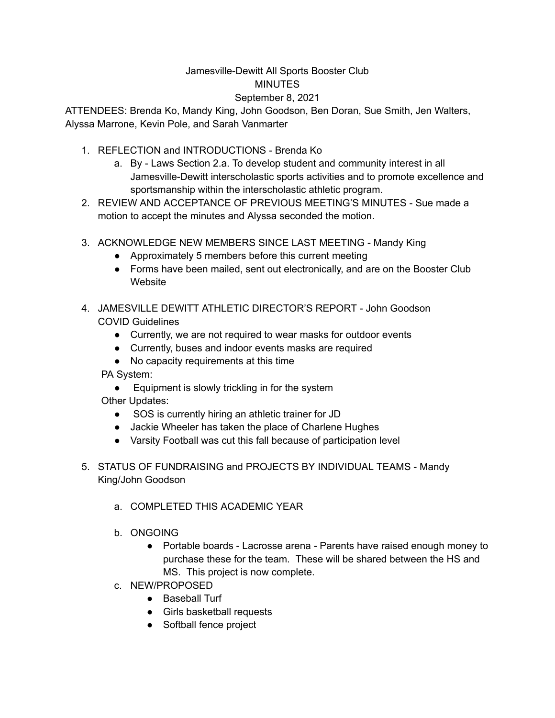## Jamesville-Dewitt All Sports Booster Club **MINUTES**

## September 8, 2021

ATTENDEES: Brenda Ko, Mandy King, John Goodson, Ben Doran, Sue Smith, Jen Walters, Alyssa Marrone, Kevin Pole, and Sarah Vanmarter

- 1. REFLECTION and INTRODUCTIONS Brenda Ko
	- a. By Laws Section 2.a. To develop student and community interest in all Jamesville-Dewitt interscholastic sports activities and to promote excellence and sportsmanship within the interscholastic athletic program.
- 2. REVIEW AND ACCEPTANCE OF PREVIOUS MEETING'S MINUTES Sue made a motion to accept the minutes and Alyssa seconded the motion.
- 3. ACKNOWLEDGE NEW MEMBERS SINCE LAST MEETING Mandy King
	- Approximately 5 members before this current meeting
	- Forms have been mailed, sent out electronically, and are on the Booster Club Website
- 4. JAMESVILLE DEWITT ATHLETIC DIRECTOR'S REPORT John Goodson COVID Guidelines
	- Currently, we are not required to wear masks for outdoor events
	- Currently, buses and indoor events masks are required
	- No capacity requirements at this time

PA System:

● Equipment is slowly trickling in for the system

Other Updates:

- SOS is currently hiring an athletic trainer for JD
- Jackie Wheeler has taken the place of Charlene Hughes
- Varsity Football was cut this fall because of participation level
- 5. STATUS OF FUNDRAISING and PROJECTS BY INDIVIDUAL TEAMS Mandy King/John Goodson
	- a. COMPLETED THIS ACADEMIC YEAR
	- b. ONGOING
		- Portable boards Lacrosse arena Parents have raised enough money to purchase these for the team. These will be shared between the HS and MS. This project is now complete.
	- c. NEW/PROPOSED
		- Baseball Turf
		- Girls basketball requests
		- Softball fence project